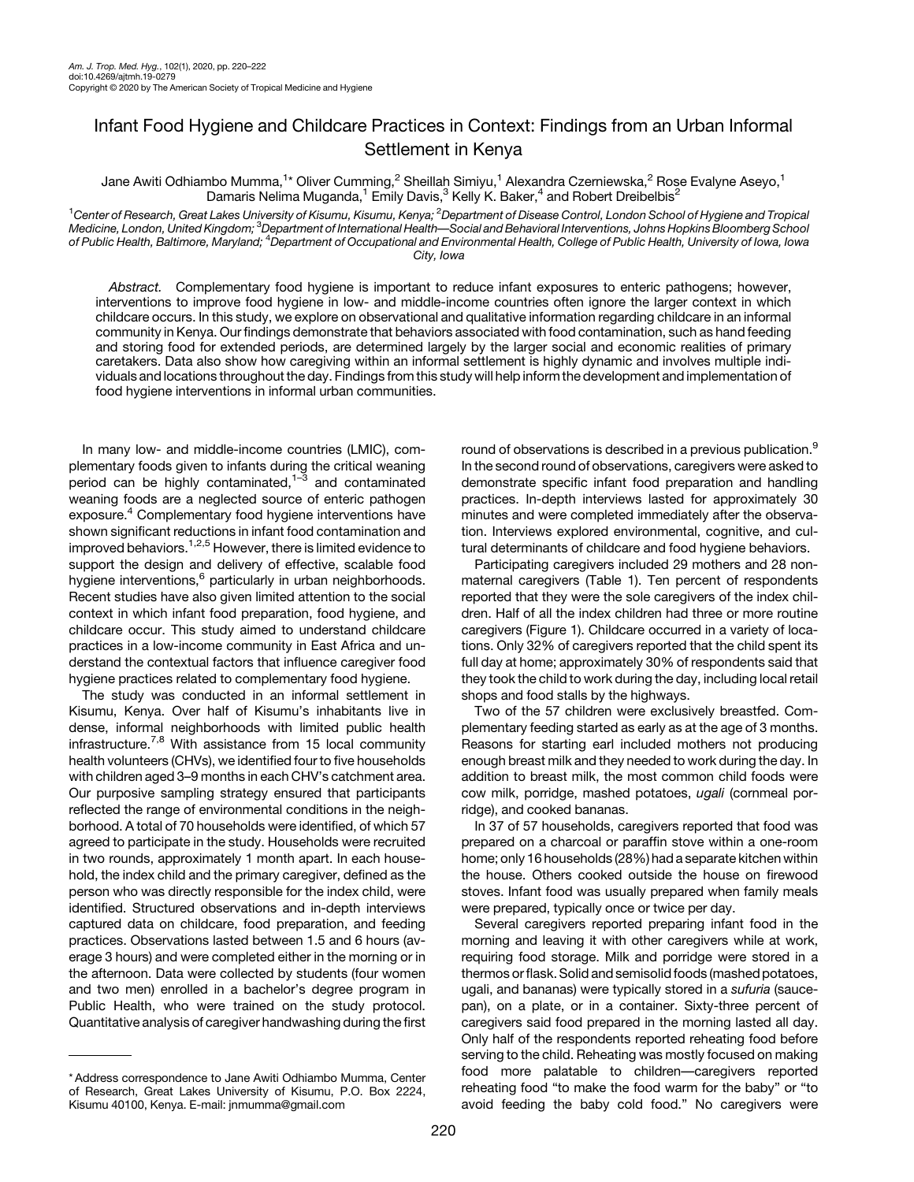## Infant Food Hygiene and Childcare Practices in Context: Findings from an Urban Informal Settlement in Kenya

Jane Awiti Odhiambo Mumma, $^{1\star}$  Oliver Cumming, $^2$  Sheillah Simiyu, $^1$  Alexandra Czerniewska, $^2$  Rose Evalyne Aseyo, $^1$ Damaris Nelima Muganda,<sup>1</sup> Emily Davis,<sup>3</sup> Kelly K. Baker,<sup>4</sup> and Robert Dreibelbis<sup>2</sup>

<sup>1</sup>Center of Research, Great Lakes University of Kisumu, Kisumu, Kenya; <sup>2</sup>Department of Disease Control, London School of Hygiene and Tropical Medicine, London, Únited Kingdom; <sup>3</sup>Department of International Health—Social and Behavioral Interventions, Johns Hopkins Bloomberg School of Public Health, Baltimore, Maryland; <sup>4</sup>Department of Occupational and Environmental Health, College of Public Health, University of Iowa, Iowa City, Iowa

Abstract. Complementary food hygiene is important to reduce infant exposures to enteric pathogens; however, interventions to improve food hygiene in low- and middle-income countries often ignore the larger context in which childcare occurs. In this study, we explore on observational and qualitative information regarding childcare in an informal community in Kenya. Our findings demonstrate that behaviors associated with food contamination, such as hand feeding and storing food for extended periods, are determined largely by the larger social and economic realities of primary caretakers. Data also show how caregiving within an informal settlement is highly dynamic and involves multiple individuals and locations throughout the day. Findings from this study will help inform the development and implementation of food hygiene interventions in informal urban communities.

In many low- and middle-income countries (LMIC), complementary foods given to infants during the critical weaning period can be highly contaminated, $1-\overline{3}$  $1-\overline{3}$  $1-\overline{3}$  $1-\overline{3}$  and contaminated weaning foods are a neglected source of enteric pathogen exposure.<sup>4</sup> Complementary food hygiene interventions have shown significant reductions in infant food contamination and improved behaviors[.1,2,5](#page-2-0) However, there is limited evidence to support the design and delivery of effective, scalable food hygiene interventions,<sup>[6](#page-2-0)</sup> particularly in urban neighborhoods. Recent studies have also given limited attention to the social context in which infant food preparation, food hygiene, and childcare occur. This study aimed to understand childcare practices in a low-income community in East Africa and understand the contextual factors that influence caregiver food hygiene practices related to complementary food hygiene.

The study was conducted in an informal settlement in Kisumu, Kenya. Over half of Kisumu's inhabitants live in dense, informal neighborhoods with limited public health infrastructure.<sup>[7,8](#page-2-0)</sup> With assistance from 15 local community health volunteers (CHVs), we identified four to five households with children aged 3–9 months in each CHV's catchment area. Our purposive sampling strategy ensured that participants reflected the range of environmental conditions in the neighborhood. A total of 70 households were identified, of which 57 agreed to participate in the study. Households were recruited in two rounds, approximately 1 month apart. In each household, the index child and the primary caregiver, defined as the person who was directly responsible for the index child, were identified. Structured observations and in-depth interviews captured data on childcare, food preparation, and feeding practices. Observations lasted between 1.5 and 6 hours (average 3 hours) and were completed either in the morning or in the afternoon. Data were collected by students (four women and two men) enrolled in a bachelor's degree program in Public Health, who were trained on the study protocol. Quantitative analysis of caregiver handwashing during the first

\* Address correspondence to Jane Awiti Odhiambo Mumma, Center of Research, Great Lakes University of Kisumu, P.O. Box 2224, Kisumu 40100, Kenya. E-mail: [jnmumma@gmail.com](mailto:jnmumma@gmail.com)

round of observations is described in a previous publication.<sup>[9](#page-2-0)</sup> In the second round of observations, caregivers were asked to demonstrate specific infant food preparation and handling practices. In-depth interviews lasted for approximately 30 minutes and were completed immediately after the observation. Interviews explored environmental, cognitive, and cultural determinants of childcare and food hygiene behaviors.

Participating caregivers included 29 mothers and 28 nonmaternal caregivers ([Table 1](#page-1-0)). Ten percent of respondents reported that they were the sole caregivers of the index children. Half of all the index children had three or more routine caregivers ([Figure 1](#page-1-0)). Childcare occurred in a variety of locations. Only 32% of caregivers reported that the child spent its full day at home; approximately 30% of respondents said that they took the child to work during the day, including local retail shops and food stalls by the highways.

Two of the 57 children were exclusively breastfed. Complementary feeding started as early as at the age of 3 months. Reasons for starting earl included mothers not producing enough breast milk and they needed to work during the day. In addition to breast milk, the most common child foods were cow milk, porridge, mashed potatoes, ugali (cornmeal porridge), and cooked bananas.

In 37 of 57 households, caregivers reported that food was prepared on a charcoal or paraffin stove within a one-room home; only 16 households (28%) had a separate kitchen within the house. Others cooked outside the house on firewood stoves. Infant food was usually prepared when family meals were prepared, typically once or twice per day.

Several caregivers reported preparing infant food in the morning and leaving it with other caregivers while at work, requiring food storage. Milk and porridge were stored in a thermos or flask. Solid and semisolid foods (mashed potatoes, ugali, and bananas) were typically stored in a sufuria (saucepan), on a plate, or in a container. Sixty-three percent of caregivers said food prepared in the morning lasted all day. Only half of the respondents reported reheating food before serving to the child. Reheating was mostly focused on making food more palatable to children—caregivers reported reheating food "to make the food warm for the baby" or "to avoid feeding the baby cold food." No caregivers were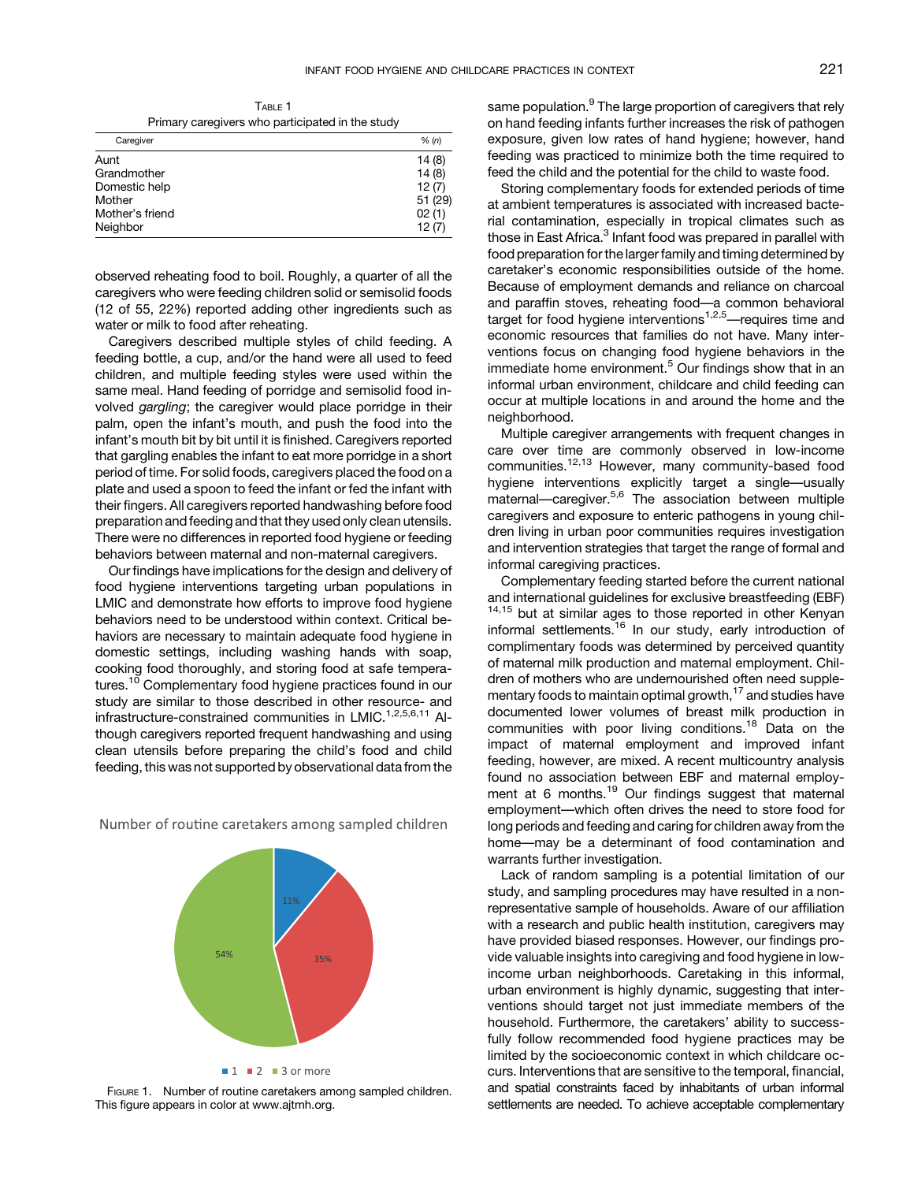TABLE 1 Primary caregivers who participated in the study

<span id="page-1-0"></span>

|                 | . |  |         |
|-----------------|---|--|---------|
| Caregiver       |   |  | % (n)   |
| Aunt            |   |  | 14(8)   |
| Grandmother     |   |  | 14(8)   |
| Domestic help   |   |  | 12(7)   |
| Mother          |   |  | 51 (29) |
| Mother's friend |   |  | 02(1)   |
| Neighbor        |   |  | 12(7)   |

observed reheating food to boil. Roughly, a quarter of all the caregivers who were feeding children solid or semisolid foods (12 of 55, 22%) reported adding other ingredients such as water or milk to food after reheating.

Caregivers described multiple styles of child feeding. A feeding bottle, a cup, and/or the hand were all used to feed children, and multiple feeding styles were used within the same meal. Hand feeding of porridge and semisolid food involved gargling; the caregiver would place porridge in their palm, open the infant's mouth, and push the food into the infant's mouth bit by bit until it is finished. Caregivers reported that gargling enables the infant to eat more porridge in a short period of time. For solid foods, caregivers placed the food on a plate and used a spoon to feed the infant or fed the infant with their fingers. All caregivers reported handwashing before food preparation and feeding and that they used only clean utensils. There were no differences in reported food hygiene or feeding behaviors between maternal and non-maternal caregivers.

Our findings have implications for the design and delivery of food hygiene interventions targeting urban populations in LMIC and demonstrate how efforts to improve food hygiene behaviors need to be understood within context. Critical behaviors are necessary to maintain adequate food hygiene in domestic settings, including washing hands with soap, cooking food thoroughly, and storing food at safe temperatures.<sup>10</sup> Complementary food hygiene practices found in our study are similar to those described in other resource- and infrastructure-constrained communities in LMIC.<sup>[1,2,5,6,11](#page-2-0)</sup> Although caregivers reported frequent handwashing and using clean utensils before preparing the child's food and child feeding, this was not supported by observational data from the



Number of routine caretakers among sampled children

FIGURE 1. Number of routine caretakers among sampled children. This figure appears in color at [www.ajtmh.org](http://www.ajtmh.org).

 $\blacksquare$  1  $\blacksquare$  2  $\blacksquare$  3 or more

same population.<sup>[9](#page-2-0)</sup> The large proportion of caregivers that rely on hand feeding infants further increases the risk of pathogen exposure, given low rates of hand hygiene; however, hand feeding was practiced to minimize both the time required to feed the child and the potential for the child to waste food.

Storing complementary foods for extended periods of time at ambient temperatures is associated with increased bacterial contamination, especially in tropical climates such as those in East Africa.<sup>[3](#page-2-0)</sup> Infant food was prepared in parallel with food preparation for the larger family and timing determined by caretaker's economic responsibilities outside of the home. Because of employment demands and reliance on charcoal and paraffin stoves, reheating food—a common behavioral target for food hygiene interventions<sup>[1](#page-2-0),[2,5](#page-2-0)</sup>—requires time and economic resources that families do not have. Many interventions focus on changing food hygiene behaviors in the immediate home environment.<sup>[5](#page-2-0)</sup> Our findings show that in an informal urban environment, childcare and child feeding can occur at multiple locations in and around the home and the neighborhood.

Multiple caregiver arrangements with frequent changes in care over time are commonly observed in low-income communities.<sup>[12,13](#page-2-0)</sup> However, many community-based food hygiene interventions explicitly target a single—usually maternal—caregiver.[5,6](#page-2-0) The association between multiple caregivers and exposure to enteric pathogens in young children living in urban poor communities requires investigation and intervention strategies that target the range of formal and informal caregiving practices.

Complementary feeding started before the current national and international guidelines for exclusive breastfeeding (EBF) <sup>[14,15](#page-2-0)</sup> but at similar ages to those reported in other Kenyan informal settlements.<sup>[16](#page-2-0)</sup> In our study, early introduction of complimentary foods was determined by perceived quantity of maternal milk production and maternal employment. Children of mothers who are undernourished often need supple-mentary foods to maintain optimal growth,<sup>[17](#page-2-0)</sup> and studies have documented lower volumes of breast milk production in communities with poor living conditions.<sup>[18](#page-2-0)</sup> Data on the impact of maternal employment and improved infant feeding, however, are mixed. A recent multicountry analysis found no association between EBF and maternal employ-ment at 6 months.<sup>[19](#page-2-0)</sup> Our findings suggest that maternal employment—which often drives the need to store food for long periods and feeding and caring for children away from the home—may be a determinant of food contamination and warrants further investigation.

Lack of random sampling is a potential limitation of our study, and sampling procedures may have resulted in a nonrepresentative sample of households. Aware of our affiliation with a research and public health institution, caregivers may have provided biased responses. However, our findings provide valuable insights into caregiving and food hygiene in lowincome urban neighborhoods. Caretaking in this informal, urban environment is highly dynamic, suggesting that interventions should target not just immediate members of the household. Furthermore, the caretakers' ability to successfully follow recommended food hygiene practices may be limited by the socioeconomic context in which childcare occurs. Interventions that are sensitive to the temporal, financial, and spatial constraints faced by inhabitants of urban informal settlements are needed. To achieve acceptable complementary